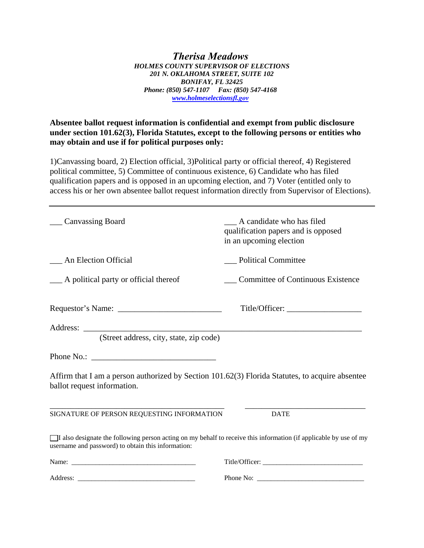*Therisa Meadows HOLMES COUNTY SUPERVISOR OF ELECTIONS 201 N. OKLAHOMA STREET, SUITE 102 BONIFAY, FL 32425 Phone: (850) 547-1107 Fax: (850) 547-4168 www.holmeselectionsfl.gov*

**Absentee ballot request information is confidential and exempt from public disclosure under section 101.62(3), Florida Statutes, except to the following persons or entities who may obtain and use if for political purposes only:** 

1)Canvassing board, 2) Election official, 3)Political party or official thereof, 4) Registered political committee, 5) Committee of continuous existence, 6) Candidate who has filed qualification papers and is opposed in an upcoming election, and 7) Voter (entitled only to access his or her own absentee ballot request information directly from Supervisor of Elections).

| <b>Canvassing Board</b>                                                                                                                                                 | A candidate who has filed<br>qualification papers and is opposed<br>in an upcoming election |
|-------------------------------------------------------------------------------------------------------------------------------------------------------------------------|---------------------------------------------------------------------------------------------|
| __ An Election Official                                                                                                                                                 | <b>Political Committee</b>                                                                  |
| __ A political party or official thereof                                                                                                                                | <b>Committee of Continuous Existence</b>                                                    |
|                                                                                                                                                                         |                                                                                             |
| (Street address, city, state, zip code)                                                                                                                                 |                                                                                             |
|                                                                                                                                                                         |                                                                                             |
| Affirm that I am a person authorized by Section 101.62(3) Florida Statutes, to acquire absentee<br>ballot request information.                                          |                                                                                             |
| SIGNATURE OF PERSON REQUESTING INFORMATION                                                                                                                              | <b>DATE</b>                                                                                 |
| I also designate the following person acting on my behalf to receive this information (if applicable by use of my<br>username and password) to obtain this information: |                                                                                             |
|                                                                                                                                                                         | Title/Officer:                                                                              |
|                                                                                                                                                                         |                                                                                             |